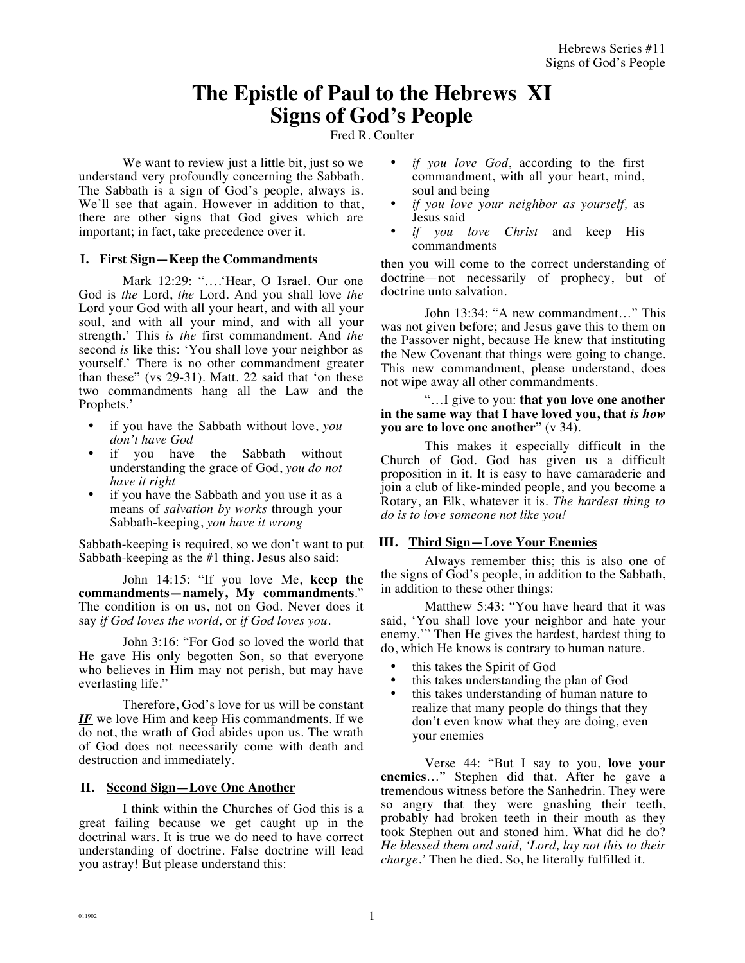# **The Epistle of Paul to the Hebrews XI Signs of God's People**

Fred R. Coulter

We want to review just a little bit, just so we understand very profoundly concerning the Sabbath. The Sabbath is a sign of God's people, always is. We'll see that again. However in addition to that, there are other signs that God gives which are important; in fact, take precedence over it.

## **I. First Sign—Keep the Commandments**

Mark 12:29: "….'Hear, O Israel. Our one God is *the* Lord, *the* Lord. And you shall love *the* Lord your God with all your heart, and with all your soul, and with all your mind, and with all your strength.' This *is the* first commandment. And *the* second *is* like this: 'You shall love your neighbor as yourself.' There is no other commandment greater than these" (vs 29-31). Matt. 22 said that 'on these two commandments hang all the Law and the Prophets.'

- if you have the Sabbath without love, *you don't have God*
- if you have the Sabbath without understanding the grace of God, *you do not have it right*
- if you have the Sabbath and you use it as a means of *salvation by works* through your Sabbath-keeping, *you have it wrong*

Sabbath-keeping is required, so we don't want to put Sabbath-keeping as the #1 thing. Jesus also said:

John 14:15: "If you love Me, **keep the commandments—namely, My commandments**." The condition is on us, not on God. Never does it say *if God loves the world,* or *if God loves you.*

John 3:16: "For God so loved the world that He gave His only begotten Son, so that everyone who believes in Him may not perish, but may have everlasting life."

Therefore, God's love for us will be constant *IF* we love Him and keep His commandments. If we do not, the wrath of God abides upon us. The wrath of God does not necessarily come with death and destruction and immediately.

# **II. Second Sign—Love One Another**

I think within the Churches of God this is a great failing because we get caught up in the doctrinal wars. It is true we do need to have correct understanding of doctrine. False doctrine will lead you astray! But please understand this:

- *if you love God*, according to the first commandment, with all your heart, mind, soul and being
- *if you love your neighbor as yourself,* as Jesus said
- *if you love Christ* and keep His commandments

then you will come to the correct understanding of doctrine—not necessarily of prophecy, but of doctrine unto salvation.

John 13:34: "A new commandment…" This was not given before; and Jesus gave this to them on the Passover night, because He knew that instituting the New Covenant that things were going to change. This new commandment, please understand, does not wipe away all other commandments.

"…I give to you: **that you love one another in the same way that I have loved you, that** *is how* **you are to love one another**" (v 34).

This makes it especially difficult in the Church of God. God has given us a difficult proposition in it. It is easy to have camaraderie and join a club of like-minded people, and you become a Rotary, an Elk, whatever it is. *The hardest thing to do is to love someone not like you!*

# **III. Third Sign—Love Your Enemies**

Always remember this; this is also one of the signs of God's people, in addition to the Sabbath, in addition to these other things:

Matthew 5:43: "You have heard that it was said, 'You shall love your neighbor and hate your enemy.'" Then He gives the hardest, hardest thing to do, which He knows is contrary to human nature.

- this takes the Spirit of God
- this takes understanding the plan of God
- this takes understanding of human nature to realize that many people do things that they don't even know what they are doing, even your enemies

Verse 44: "But I say to you, **love your enemies**…" Stephen did that. After he gave a tremendous witness before the Sanhedrin. They were so angry that they were gnashing their teeth, probably had broken teeth in their mouth as they took Stephen out and stoned him. What did he do? *He blessed them and said, 'Lord, lay not this to their charge.'* Then he died. So, he literally fulfilled it.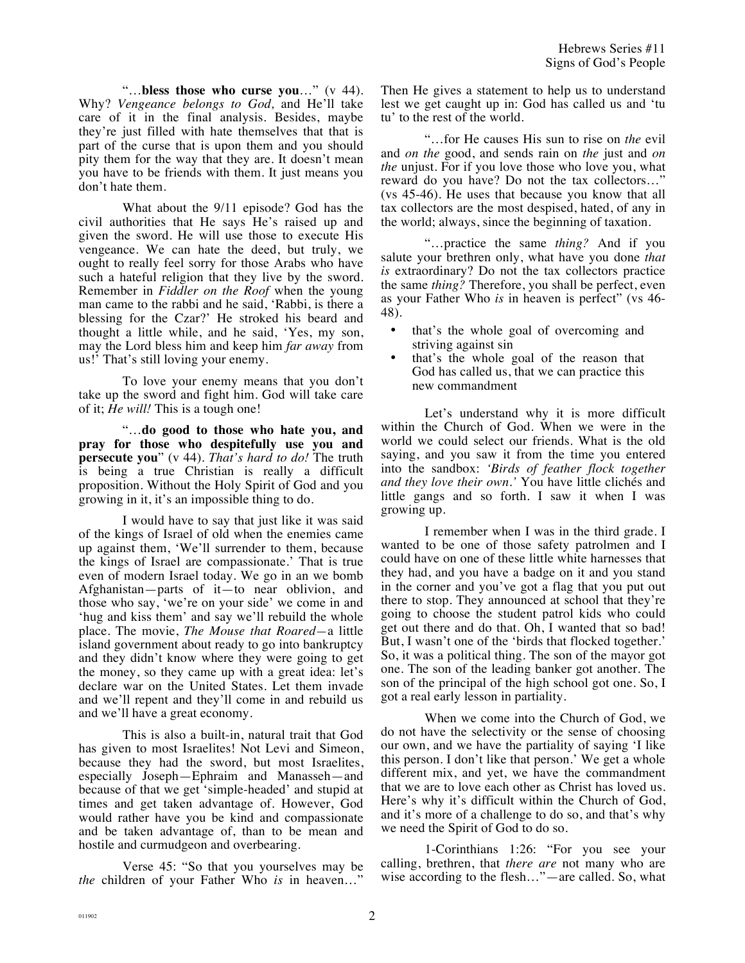"…**bless those who curse you**…" (v 44). Why? *Vengeance belongs to God,* and He'll take care of it in the final analysis. Besides, maybe they're just filled with hate themselves that that is part of the curse that is upon them and you should pity them for the way that they are. It doesn't mean you have to be friends with them. It just means you don't hate them.

What about the 9/11 episode? God has the civil authorities that He says He's raised up and given the sword. He will use those to execute His vengeance. We can hate the deed, but truly, we ought to really feel sorry for those Arabs who have such a hateful religion that they live by the sword. Remember in *Fiddler on the Roof* when the young man came to the rabbi and he said, 'Rabbi, is there a blessing for the Czar?' He stroked his beard and thought a little while, and he said, 'Yes, my son, may the Lord bless him and keep him *far away* from us!' That's still loving your enemy.

To love your enemy means that you don't take up the sword and fight him. God will take care of it; *He will!* This is a tough one!

"…**do good to those who hate you, and pray for those who despitefully use you and persecute you**" (v 44). *That's hard to do!* The truth is being a true Christian is really a difficult proposition. Without the Holy Spirit of God and you growing in it, it's an impossible thing to do.

I would have to say that just like it was said of the kings of Israel of old when the enemies came up against them, 'We'll surrender to them, because the kings of Israel are compassionate.' That is true even of modern Israel today. We go in an we bomb Afghanistan—parts of it—to near oblivion, and those who say, 'we're on your side' we come in and 'hug and kiss them' and say we'll rebuild the whole place. The movie, *The Mouse that Roared—*a little island government about ready to go into bankruptcy and they didn't know where they were going to get the money, so they came up with a great idea: let's declare war on the United States. Let them invade and we'll repent and they'll come in and rebuild us and we'll have a great economy.

This is also a built-in, natural trait that God has given to most Israelites! Not Levi and Simeon, because they had the sword, but most Israelites, especially Joseph—Ephraim and Manasseh—and because of that we get 'simple-headed' and stupid at times and get taken advantage of. However, God would rather have you be kind and compassionate and be taken advantage of, than to be mean and hostile and curmudgeon and overbearing.

Verse 45: "So that you yourselves may be *the* children of your Father Who *is* in heaven…"

Then He gives a statement to help us to understand lest we get caught up in: God has called us and 'tu tu' to the rest of the world.

"…for He causes His sun to rise on *the* evil and *on the* good, and sends rain on *the* just and *on the* unjust. For if you love those who love you, what reward do you have? Do not the tax collectors…" (vs 45-46). He uses that because you know that all tax collectors are the most despised, hated, of any in the world; always, since the beginning of taxation.

"…practice the same *thing?* And if you salute your brethren only, what have you done *that is* extraordinary? Do not the tax collectors practice the same *thing?* Therefore, you shall be perfect, even as your Father Who *is* in heaven is perfect" (vs 46- 48).

- that's the whole goal of overcoming and striving against sin
- that's the whole goal of the reason that God has called us, that we can practice this new commandment

Let's understand why it is more difficult within the Church of God. When we were in the world we could select our friends. What is the old saying, and you saw it from the time you entered into the sandbox: *'Birds of feather flock together and they love their own.'* You have little clichés and little gangs and so forth. I saw it when I was growing up.

I remember when I was in the third grade. I wanted to be one of those safety patrolmen and I could have on one of these little white harnesses that they had, and you have a badge on it and you stand in the corner and you've got a flag that you put out there to stop. They announced at school that they're going to choose the student patrol kids who could get out there and do that. Oh, I wanted that so bad! But, I wasn't one of the 'birds that flocked together.' So, it was a political thing. The son of the mayor got one. The son of the leading banker got another. The son of the principal of the high school got one. So, I got a real early lesson in partiality.

When we come into the Church of God, we do not have the selectivity or the sense of choosing our own, and we have the partiality of saying 'I like this person. I don't like that person.' We get a whole different mix, and yet, we have the commandment that we are to love each other as Christ has loved us. Here's why it's difficult within the Church of God, and it's more of a challenge to do so, and that's why we need the Spirit of God to do so.

1-Corinthians 1:26: "For you see your calling, brethren, that *there are* not many who are wise according to the flesh…"—are called. So, what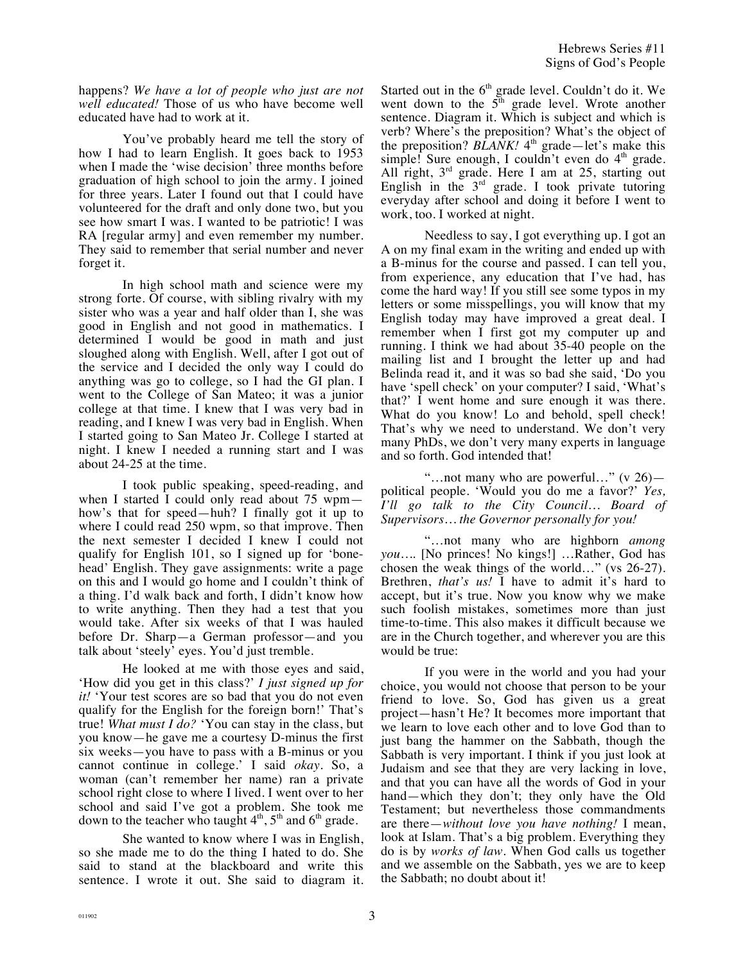happens? *We have a lot of people who just are not well educated!* Those of us who have become well educated have had to work at it.

You've probably heard me tell the story of how I had to learn English. It goes back to 1953 when I made the 'wise decision' three months before graduation of high school to join the army. I joined for three years. Later I found out that I could have volunteered for the draft and only done two, but you see how smart I was. I wanted to be patriotic! I was RA [regular army] and even remember my number. They said to remember that serial number and never forget it.

In high school math and science were my strong forte. Of course, with sibling rivalry with my sister who was a year and half older than I, she was good in English and not good in mathematics. I determined I would be good in math and just sloughed along with English. Well, after I got out of the service and I decided the only way I could do anything was go to college, so I had the GI plan. I went to the College of San Mateo; it was a junior college at that time. I knew that I was very bad in reading, and I knew I was very bad in English. When I started going to San Mateo Jr. College I started at night. I knew I needed a running start and I was about 24-25 at the time.

I took public speaking, speed-reading, and when I started I could only read about 75 wpm how's that for speed—huh? I finally got it up to where I could read 250 wpm, so that improve. Then the next semester I decided I knew I could not qualify for English 101, so I signed up for 'bonehead' English. They gave assignments: write a page on this and I would go home and I couldn't think of a thing. I'd walk back and forth, I didn't know how to write anything. Then they had a test that you would take. After six weeks of that I was hauled before Dr. Sharp—a German professor—and you talk about 'steely' eyes. You'd just tremble.

He looked at me with those eyes and said, 'How did you get in this class?' *I just signed up for it!* 'Your test scores are so bad that you do not even qualify for the English for the foreign born!' That's true! *What must I do?* 'You can stay in the class, but you know—he gave me a courtesy D-minus the first six weeks—you have to pass with a B-minus or you cannot continue in college.' I said *okay.* So, a woman (can't remember her name) ran a private school right close to where I lived. I went over to her school and said I've got a problem. She took me down to the teacher who taught  $4<sup>th</sup>$ ,  $5<sup>th</sup>$  and  $6<sup>th</sup>$  grade.

She wanted to know where I was in English, so she made me to do the thing I hated to do. She said to stand at the blackboard and write this sentence. I wrote it out. She said to diagram it.

Started out in the  $6<sup>th</sup>$  grade level. Couldn't do it. We went down to the  $5<sup>th</sup>$  grade level. Wrote another sentence. Diagram it. Which is subject and which is verb? Where's the preposition? What's the object of the preposition? *BLANK!*  $4<sup>th</sup>$  grade—let's make this simple! Sure enough, I couldn't even do  $4<sup>th</sup>$  grade. All right, 3<sup>rd</sup> grade. Here I am at 25, starting out English in the  $3<sup>rd</sup>$  grade. I took private tutoring everyday after school and doing it before I went to work, too. I worked at night.

Needless to say, I got everything up. I got an A on my final exam in the writing and ended up with a B-minus for the course and passed. I can tell you, from experience, any education that I've had, has come the hard way! If you still see some typos in my letters or some misspellings, you will know that my English today may have improved a great deal. I remember when I first got my computer up and running. I think we had about 35-40 people on the mailing list and I brought the letter up and had Belinda read it, and it was so bad she said, 'Do you have 'spell check' on your computer? I said, 'What's that?' I went home and sure enough it was there. What do you know! Lo and behold, spell check! That's why we need to understand. We don't very many PhDs, we don't very many experts in language and so forth. God intended that!

"...not many who are powerful..." (v 26) political people. 'Would you do me a favor?' *Yes, I'll go talk to the City Council… Board of Supervisors… the Governor personally for you!*

"…not many who are highborn *among you…*. [No princes! No kings!] …Rather, God has chosen the weak things of the world…" (vs 26-27). Brethren, *that's us!* I have to admit it's hard to accept, but it's true. Now you know why we make such foolish mistakes, sometimes more than just time-to-time. This also makes it difficult because we are in the Church together, and wherever you are this would be true:

If you were in the world and you had your choice, you would not choose that person to be your friend to love. So, God has given us a great project—hasn't He? It becomes more important that we learn to love each other and to love God than to just bang the hammer on the Sabbath, though the Sabbath is very important. I think if you just look at Judaism and see that they are very lacking in love, and that you can have all the words of God in your hand—which they don't; they only have the Old Testament; but nevertheless those commandments are there—*without love you have nothing!* I mean, look at Islam. That's a big problem. Everything they do is by *works of law.* When God calls us together and we assemble on the Sabbath, yes we are to keep the Sabbath; no doubt about it!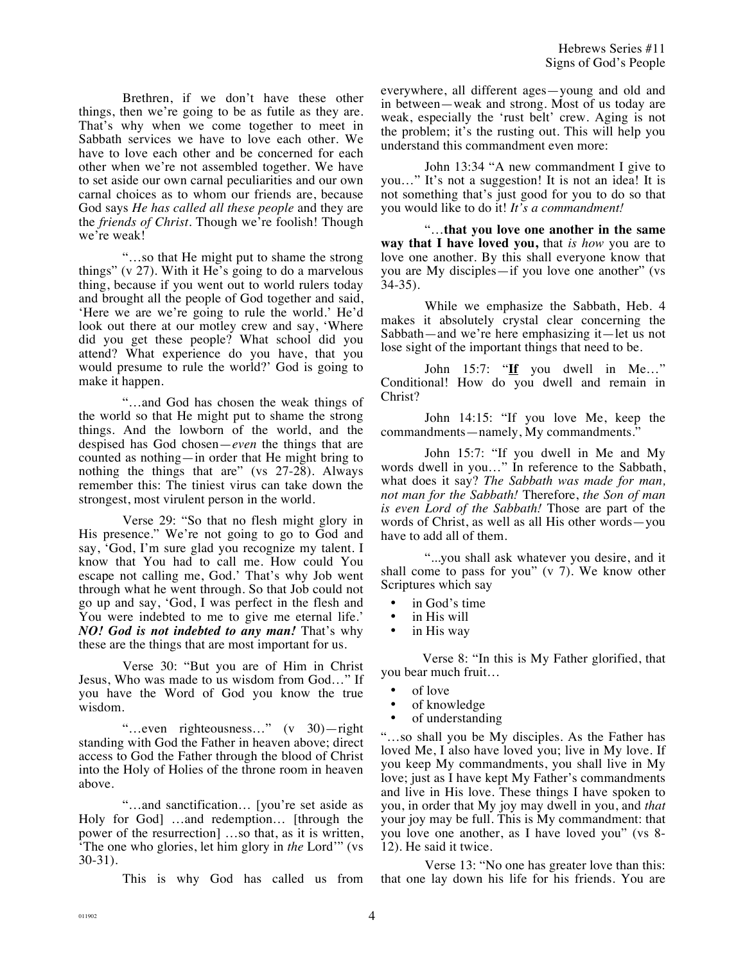Brethren, if we don't have these other things, then we're going to be as futile as they are. That's why when we come together to meet in Sabbath services we have to love each other. We have to love each other and be concerned for each other when we're not assembled together. We have to set aside our own carnal peculiarities and our own carnal choices as to whom our friends are, because God says *He has called all these people* and they are the *friends of Christ*. Though we're foolish! Though we're weak!

"…so that He might put to shame the strong things" (v 27). With it He's going to do a marvelous thing, because if you went out to world rulers today and brought all the people of God together and said, 'Here we are we're going to rule the world.' He'd look out there at our motley crew and say, 'Where did you get these people? What school did you attend? What experience do you have, that you would presume to rule the world?' God is going to make it happen.

"…and God has chosen the weak things of the world so that He might put to shame the strong things. And the lowborn of the world, and the despised has God chosen—*even* the things that are counted as nothing—in order that He might bring to nothing the things that are" (vs 27-28). Always remember this: The tiniest virus can take down the strongest, most virulent person in the world.

Verse 29: "So that no flesh might glory in His presence." We're not going to go to God and say, 'God, I'm sure glad you recognize my talent. I know that You had to call me. How could You escape not calling me, God.' That's why Job went through what he went through. So that Job could not go up and say, 'God, I was perfect in the flesh and You were indebted to me to give me eternal life.' *NO! God is not indebted to any man!* That's why these are the things that are most important for us.

Verse 30: "But you are of Him in Christ Jesus, Who was made to us wisdom from God…" If you have the Word of God you know the true wisdom.

"…even righteousness…" (v 30)—right standing with God the Father in heaven above; direct access to God the Father through the blood of Christ into the Holy of Holies of the throne room in heaven above.

"…and sanctification… [you're set aside as Holy for God] …and redemption… [through the power of the resurrection] …so that, as it is written, 'The one who glories, let him glory in *the* Lord'" (vs 30-31).

This is why God has called us from

everywhere, all different ages—young and old and in between—weak and strong. Most of us today are weak, especially the 'rust belt' crew. Aging is not the problem; it's the rusting out. This will help you understand this commandment even more:

John 13:34 "A new commandment I give to you…" It's not a suggestion! It is not an idea! It is not something that's just good for you to do so that you would like to do it! *It's a commandment!*

"…**that you love one another in the same way that I have loved you,** that *is how* you are to love one another. By this shall everyone know that you are My disciples—if you love one another" (vs 34-35).

While we emphasize the Sabbath, Heb. 4 makes it absolutely crystal clear concerning the Sabbath—and we're here emphasizing it—let us not lose sight of the important things that need to be.

John 15:7: "**If** you dwell in Me…" Conditional! How do you dwell and remain in Christ?

John 14:15: "If you love Me, keep the commandments—namely, My commandments."

John 15:7: "If you dwell in Me and My words dwell in you…" In reference to the Sabbath, what does it say? *The Sabbath was made for man, not man for the Sabbath!* Therefore, *the Son of man is even Lord of the Sabbath!* Those are part of the words of Christ, as well as all His other words—you have to add all of them.

"...you shall ask whatever you desire, and it shall come to pass for you" (v 7). We know other Scriptures which say

- in God's time
- in His will
- in His way

Verse 8: "In this is My Father glorified, that you bear much fruit…

- of love
- of knowledge
- of understanding

"…so shall you be My disciples. As the Father has loved Me, I also have loved you; live in My love. If you keep My commandments, you shall live in My love; just as I have kept My Father's commandments and live in His love. These things I have spoken to you, in order that My joy may dwell in you, and *that*  your joy may be full. This is My commandment: that you love one another, as I have loved you" (vs 8- 12). He said it twice.

Verse 13: "No one has greater love than this: that one lay down his life for his friends. You are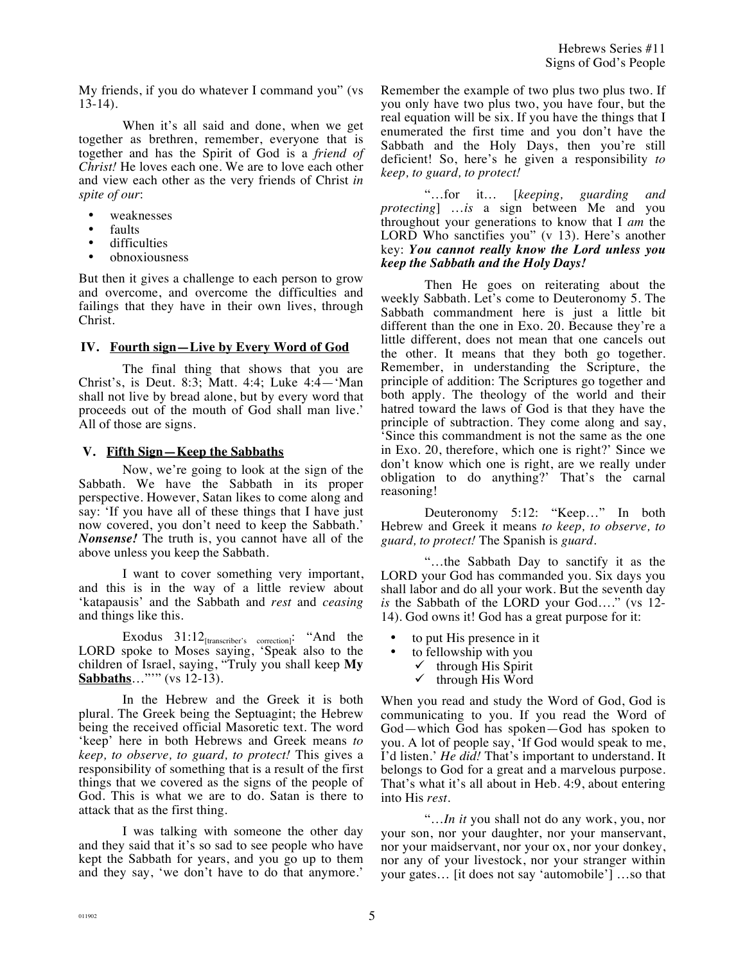My friends, if you do whatever I command you" (vs 13-14).

When it's all said and done, when we get together as brethren, remember, everyone that is together and has the Spirit of God is a *friend of Christ!* He loves each one. We are to love each other and view each other as the very friends of Christ *in spite of our*:

- weaknesses
- faults
- difficulties
- obnoxiousness

But then it gives a challenge to each person to grow and overcome, and overcome the difficulties and failings that they have in their own lives, through Christ.

## **IV. Fourth sign—Live by Every Word of God**

The final thing that shows that you are Christ's, is Deut. 8:3; Matt. 4:4; Luke 4:4—'Man shall not live by bread alone, but by every word that proceeds out of the mouth of God shall man live.' All of those are signs.

#### **V. Fifth Sign—Keep the Sabbaths**

Now, we're going to look at the sign of the Sabbath. We have the Sabbath in its proper perspective. However, Satan likes to come along and say: 'If you have all of these things that I have just now covered, you don't need to keep the Sabbath.' *Nonsense!* The truth is, you cannot have all of the above unless you keep the Sabbath.

I want to cover something very important, and this is in the way of a little review about 'katapausis' and the Sabbath and *rest* and *ceasing* and things like this.

Exodus  $31:12$ <sub>[transcriber's correction]</sub>: "And the LORD spoke to Moses saying, 'Speak also to the children of Israel, saying, "Truly you shall keep **My Sabbaths**…"'" (vs 12-13).

In the Hebrew and the Greek it is both plural. The Greek being the Septuagint; the Hebrew being the received official Masoretic text. The word 'keep' here in both Hebrews and Greek means *to keep, to observe, to guard, to protect!* This gives a responsibility of something that is a result of the first things that we covered as the signs of the people of God. This is what we are to do. Satan is there to attack that as the first thing.

I was talking with someone the other day and they said that it's so sad to see people who have kept the Sabbath for years, and you go up to them and they say, 'we don't have to do that anymore.'

Remember the example of two plus two plus two. If you only have two plus two, you have four, but the real equation will be six. If you have the things that I enumerated the first time and you don't have the Sabbath and the Holy Days, then you're still deficient! So, here's he given a responsibility *to keep, to guard, to protect!*

"…for it… [*keeping, guarding and protecting*] …*is* a sign between Me and you throughout your generations to know that I *am* the LORD Who sanctifies you" (v 13). Here's another key: *You cannot really know the Lord unless you keep the Sabbath and the Holy Days!*

Then He goes on reiterating about the weekly Sabbath. Let's come to Deuteronomy 5. The Sabbath commandment here is just a little bit different than the one in Exo. 20. Because they're a little different, does not mean that one cancels out the other. It means that they both go together. Remember, in understanding the Scripture, the principle of addition: The Scriptures go together and both apply. The theology of the world and their hatred toward the laws of God is that they have the principle of subtraction. They come along and say, 'Since this commandment is not the same as the one in Exo. 20, therefore, which one is right?' Since we don't know which one is right, are we really under obligation to do anything?' That's the carnal reasoning!

Deuteronomy 5:12: "Keep…" In both Hebrew and Greek it means *to keep, to observe, to guard, to protect!* The Spanish is *guard*.

"…the Sabbath Day to sanctify it as the LORD your God has commanded you. Six days you shall labor and do all your work. But the seventh day *is* the Sabbath of the LORD your God…." (vs 12- 14). God owns it! God has a great purpose for it:

- to put His presence in it
	- to fellowship with you
		- $\checkmark$  through His Spirit
		- $\checkmark$  through His Word

When you read and study the Word of God, God is communicating to you. If you read the Word of God—which God has spoken—God has spoken to you. A lot of people say, 'If God would speak to me, I'd listen.' *He did!* That's important to understand. It belongs to God for a great and a marvelous purpose. That's what it's all about in Heb. 4:9, about entering into His *rest.*

"…*In it* you shall not do any work, you, nor your son, nor your daughter, nor your manservant, nor your maidservant, nor your ox, nor your donkey, nor any of your livestock, nor your stranger within your gates… [it does not say 'automobile'] …so that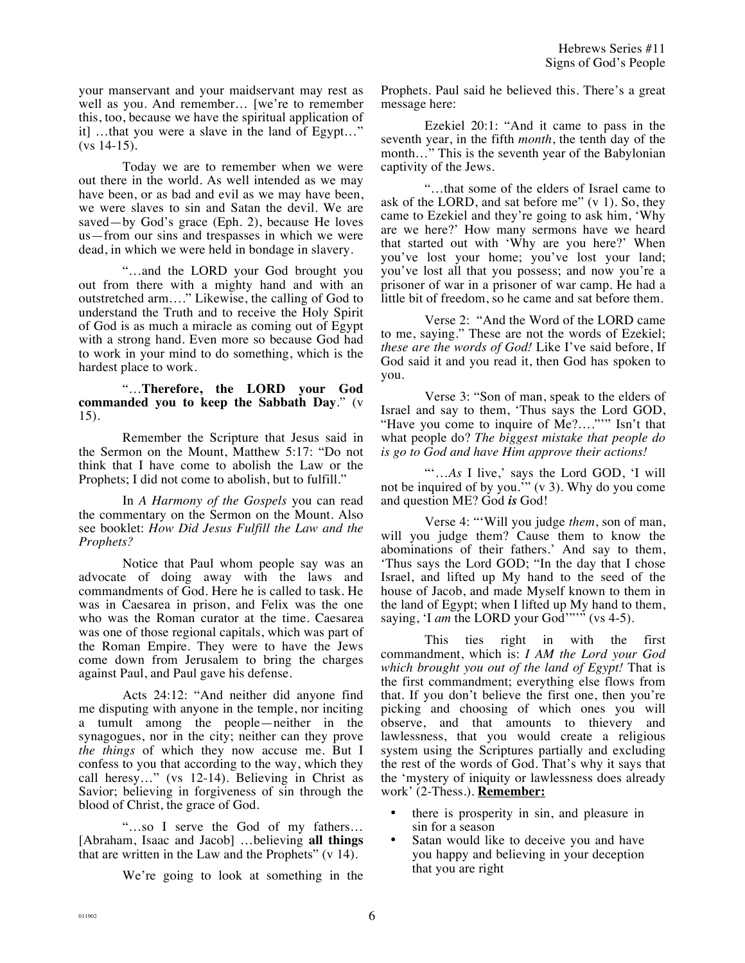your manservant and your maidservant may rest as well as you. And remember… [we're to remember this, too, because we have the spiritual application of it] …that you were a slave in the land of Egypt…" (vs 14-15).

Today we are to remember when we were out there in the world. As well intended as we may have been, or as bad and evil as we may have been, we were slaves to sin and Satan the devil. We are saved—by God's grace (Eph. 2), because He loves us—from our sins and trespasses in which we were dead, in which we were held in bondage in slavery.

"…and the LORD your God brought you out from there with a mighty hand and with an outstretched arm…." Likewise, the calling of God to understand the Truth and to receive the Holy Spirit of God is as much a miracle as coming out of Egypt with a strong hand. Even more so because God had to work in your mind to do something, which is the hardest place to work.

"…**Therefore, the LORD your God commanded you to keep the Sabbath Day**." (v 15).

Remember the Scripture that Jesus said in the Sermon on the Mount, Matthew 5:17: "Do not think that I have come to abolish the Law or the Prophets; I did not come to abolish, but to fulfill."

In *A Harmony of the Gospels* you can read the commentary on the Sermon on the Mount. Also see booklet: *How Did Jesus Fulfill the Law and the Prophets?*

Notice that Paul whom people say was an advocate of doing away with the laws and commandments of God. Here he is called to task. He was in Caesarea in prison, and Felix was the one who was the Roman curator at the time. Caesarea was one of those regional capitals, which was part of the Roman Empire. They were to have the Jews come down from Jerusalem to bring the charges against Paul, and Paul gave his defense.

Acts 24:12: "And neither did anyone find me disputing with anyone in the temple, nor inciting a tumult among the people—neither in the synagogues, nor in the city; neither can they prove *the things* of which they now accuse me. But I confess to you that according to the way, which they call heresy…" (vs 12-14). Believing in Christ as Savior; believing in forgiveness of sin through the blood of Christ, the grace of God.

"…so I serve the God of my fathers… [Abraham, Isaac and Jacob] …believing **all things** that are written in the Law and the Prophets" (v 14).

We're going to look at something in the

Prophets. Paul said he believed this. There's a great message here:

Ezekiel 20:1: "And it came to pass in the seventh year, in the fifth *month*, the tenth day of the month…" This is the seventh year of the Babylonian captivity of the Jews.

"…that some of the elders of Israel came to ask of the LORD, and sat before me"  $(v 1)$ . So, they came to Ezekiel and they're going to ask him, 'Why are we here?' How many sermons have we heard that started out with 'Why are you here?' When you've lost your home; you've lost your land; you've lost all that you possess; and now you're a prisoner of war in a prisoner of war camp. He had a little bit of freedom, so he came and sat before them.

Verse 2: "And the Word of the LORD came to me, saying." These are not the words of Ezekiel; *these are the words of God!* Like I've said before, If God said it and you read it, then God has spoken to you.

Verse 3: "Son of man, speak to the elders of Israel and say to them, 'Thus says the Lord GOD, "Have you come to inquire of Me?…."'" Isn't that what people do? *The biggest mistake that people do is go to God and have Him approve their actions!*

"'…*As* I live,' says the Lord GOD, 'I will not be inquired of by you.'" (v 3). Why do you come and question ME? God *is* God!

Verse 4: "'Will you judge *them*, son of man, will you judge them? Cause them to know the abominations of their fathers.' And say to them, 'Thus says the Lord GOD; "In the day that I chose Israel, and lifted up My hand to the seed of the house of Jacob, and made Myself known to them in the land of Egypt; when I lifted up My hand to them, saying, 'I *am* the LORD your God'"" (vs 4-5).

This ties right in with the first commandment, which is: *I AM the Lord your God which brought you out of the land of Egypt!* That is the first commandment; everything else flows from that. If you don't believe the first one, then you're picking and choosing of which ones you will observe, and that amounts to thievery and lawlessness, that you would create a religious system using the Scriptures partially and excluding the rest of the words of God. That's why it says that the 'mystery of iniquity or lawlessness does already work' (2-Thess.). **Remember:**

- there is prosperity in sin, and pleasure in sin for a season
- Satan would like to deceive you and have you happy and believing in your deception that you are right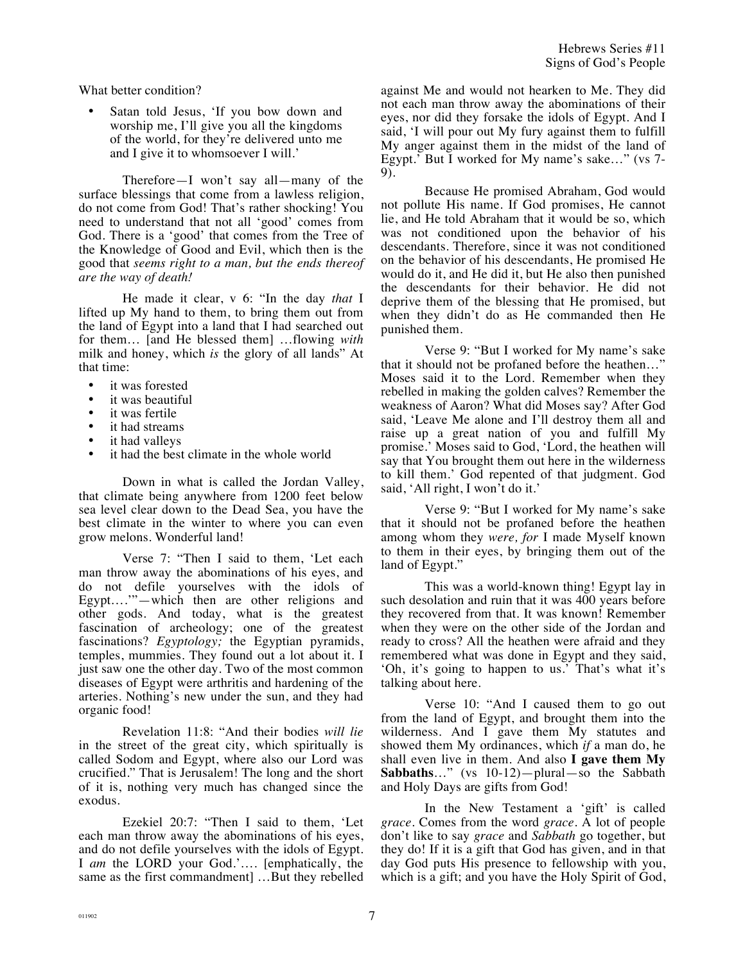What better condition?

Satan told Jesus, 'If you bow down and worship me, I'll give you all the kingdoms of the world, for they're delivered unto me and I give it to whomsoever I will.'

Therefore—I won't say all—many of the surface blessings that come from a lawless religion, do not come from God! That's rather shocking! You need to understand that not all 'good' comes from God. There is a 'good' that comes from the Tree of the Knowledge of Good and Evil, which then is the good that *seems right to a man, but the ends thereof are the way of death!*

He made it clear, v 6: "In the day *that* I lifted up My hand to them, to bring them out from the land of Egypt into a land that I had searched out for them… [and He blessed them] …flowing *with* milk and honey, which *is* the glory of all lands" At that time:

- it was forested
- it was beautiful
- it was fertile
- it had streams
- it had valleys<br>• it had the best
- it had the best climate in the whole world

Down in what is called the Jordan Valley, that climate being anywhere from 1200 feet below sea level clear down to the Dead Sea, you have the best climate in the winter to where you can even grow melons. Wonderful land!

Verse 7: "Then I said to them, 'Let each man throw away the abominations of his eyes, and do not defile yourselves with the idols of Egypt….'"—which then are other religions and other gods. And today, what is the greatest fascination of archeology; one of the greatest fascinations? *Egyptology;* the Egyptian pyramids, temples, mummies. They found out a lot about it. I just saw one the other day. Two of the most common diseases of Egypt were arthritis and hardening of the arteries. Nothing's new under the sun, and they had organic food!

Revelation 11:8: "And their bodies *will lie* in the street of the great city, which spiritually is called Sodom and Egypt, where also our Lord was crucified." That is Jerusalem! The long and the short of it is, nothing very much has changed since the exodus.

Ezekiel 20:7: "Then I said to them, 'Let each man throw away the abominations of his eyes, and do not defile yourselves with the idols of Egypt. I *am* the LORD your God.'…. [emphatically, the same as the first commandment] …But they rebelled against Me and would not hearken to Me. They did not each man throw away the abominations of their eyes, nor did they forsake the idols of Egypt. And I said, 'I will pour out My fury against them to fulfill My anger against them in the midst of the land of Egypt.' But I worked for My name's sake…" (vs 7- 9).

Because He promised Abraham, God would not pollute His name. If God promises, He cannot lie, and He told Abraham that it would be so, which was not conditioned upon the behavior of his descendants. Therefore, since it was not conditioned on the behavior of his descendants, He promised He would do it, and He did it, but He also then punished the descendants for their behavior. He did not deprive them of the blessing that He promised, but when they didn't do as He commanded then He punished them.

Verse 9: "But I worked for My name's sake that it should not be profaned before the heathen…" Moses said it to the Lord. Remember when they rebelled in making the golden calves? Remember the weakness of Aaron? What did Moses say? After God said, 'Leave Me alone and I'll destroy them all and raise up a great nation of you and fulfill My promise.' Moses said to God, 'Lord, the heathen will say that You brought them out here in the wilderness to kill them.' God repented of that judgment. God said, 'All right, I won't do it.'

Verse 9: "But I worked for My name's sake that it should not be profaned before the heathen among whom they *were, for* I made Myself known to them in their eyes, by bringing them out of the land of Egypt."

This was a world-known thing! Egypt lay in such desolation and ruin that it was 400 years before they recovered from that. It was known! Remember when they were on the other side of the Jordan and ready to cross? All the heathen were afraid and they remembered what was done in Egypt and they said, 'Oh, it's going to happen to us.' That's what it's talking about here.

Verse 10: "And I caused them to go out from the land of Egypt, and brought them into the wilderness. And I gave them My statutes and showed them My ordinances, which *if* a man do, he shall even live in them. And also **I gave them My Sabbaths**…" (vs 10-12)—plural—so the Sabbath and Holy Days are gifts from God!

In the New Testament a 'gift' is called *grace.* Comes from the word *grace.* A lot of people don't like to say *grace* and *Sabbath* go together, but they do! If it is a gift that God has given, and in that day God puts His presence to fellowship with you, which is a gift; and you have the Holy Spirit of God,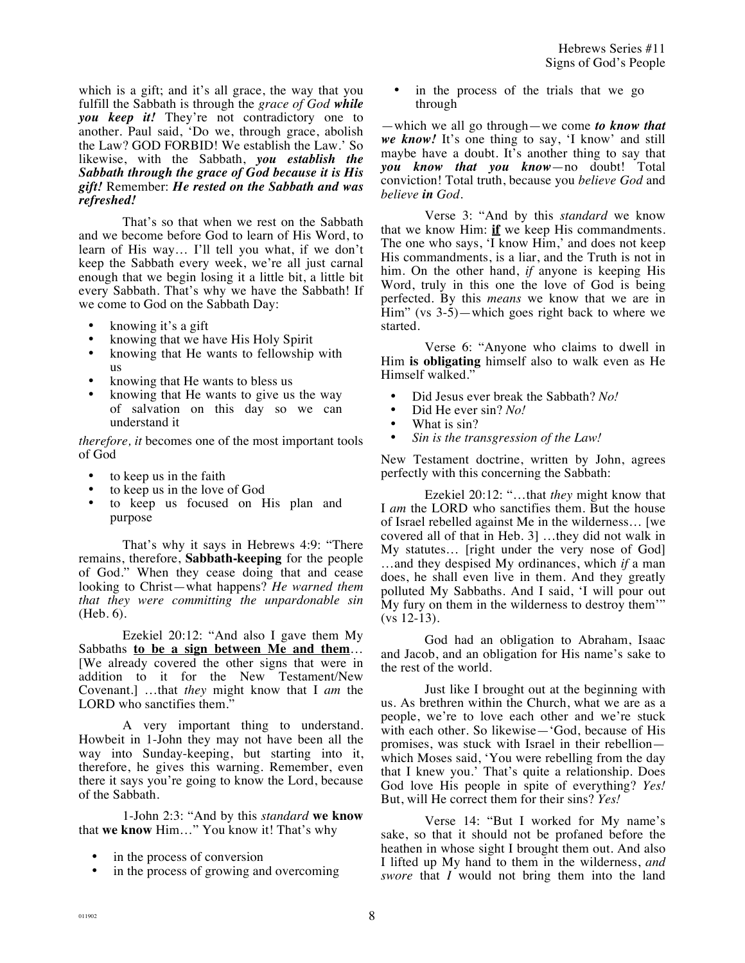which is a gift; and it's all grace, the way that you fulfill the Sabbath is through the *grace of God while you keep it!* They're not contradictory one to another. Paul said, 'Do we, through grace, abolish the Law? GOD FORBID! We establish the Law.' So likewise, with the Sabbath, *you establish the Sabbath through the grace of God because it is His gift!* Remember: *He rested on the Sabbath and was refreshed!*

That's so that when we rest on the Sabbath and we become before God to learn of His Word, to learn of His way… I'll tell you what, if we don't keep the Sabbath every week, we're all just carnal enough that we begin losing it a little bit, a little bit every Sabbath. That's why we have the Sabbath! If we come to God on the Sabbath Day:

- knowing it's a gift
- knowing that we have His Holy Spirit
- knowing that He wants to fellowship with us
- knowing that He wants to bless us
- knowing that He wants to give us the way of salvation on this day so we can understand it

*therefore, it* becomes one of the most important tools of God

- to keep us in the faith
- to keep us in the love of God
- to keep us focused on His plan and purpose

That's why it says in Hebrews 4:9: "There remains, therefore, **Sabbath-keeping** for the people of God." When they cease doing that and cease looking to Christ—what happens? *He warned them that they were committing the unpardonable sin*  (Heb. 6).

Ezekiel 20:12: "And also I gave them My Sabbaths **to be a sign between Me and them**… [We already covered the other signs that were in addition to it for the New Testament/New Covenant.] …that *they* might know that I *am* the LORD who sanctifies them."

A very important thing to understand. Howbeit in 1-John they may not have been all the way into Sunday-keeping, but starting into it, therefore, he gives this warning. Remember, even there it says you're going to know the Lord, because of the Sabbath.

1-John 2:3: "And by this *standard* **we know** that **we know** Him…" You know it! That's why

- in the process of conversion
- in the process of growing and overcoming

in the process of the trials that we go through

—which we all go through—we come *to know that we know!* It's one thing to say, 'I know' and still maybe have a doubt. It's another thing to say that *you know that you know*—no doubt! Total conviction! Total truth, because you *believe God* and *believe in God*.

Verse 3: "And by this *standard* we know that we know Him: **if** we keep His commandments. The one who says, 'I know Him,' and does not keep His commandments, is a liar, and the Truth is not in him. On the other hand, *if* anyone is keeping His Word, truly in this one the love of God is being perfected. By this *means* we know that we are in Him" (vs 3-5)—which goes right back to where we started.

Verse 6: "Anyone who claims to dwell in Him **is obligating** himself also to walk even as He Himself walked."

- Did Jesus ever break the Sabbath? *No!*
- Did He ever sin? *No!*
- What is sin?
- *Sin is the transgression of the Law!*

New Testament doctrine, written by John, agrees perfectly with this concerning the Sabbath:

Ezekiel 20:12: "…that *they* might know that I *am* the LORD who sanctifies them. But the house of Israel rebelled against Me in the wilderness… [we covered all of that in Heb. 3] …they did not walk in My statutes… [right under the very nose of God] …and they despised My ordinances, which *if* a man does, he shall even live in them. And they greatly polluted My Sabbaths. And I said, 'I will pour out My fury on them in the wilderness to destroy them'" (vs 12-13).

God had an obligation to Abraham, Isaac and Jacob, and an obligation for His name's sake to the rest of the world.

Just like I brought out at the beginning with us. As brethren within the Church, what we are as a people, we're to love each other and we're stuck with each other. So likewise—'God, because of His promises, was stuck with Israel in their rebellion which Moses said, 'You were rebelling from the day that I knew you.' That's quite a relationship. Does God love His people in spite of everything? *Yes!* But, will He correct them for their sins? *Yes!*

Verse 14: "But I worked for My name's sake, so that it should not be profaned before the heathen in whose sight I brought them out. And also I lifted up My hand to them in the wilderness, *and swore* that *I* would not bring them into the land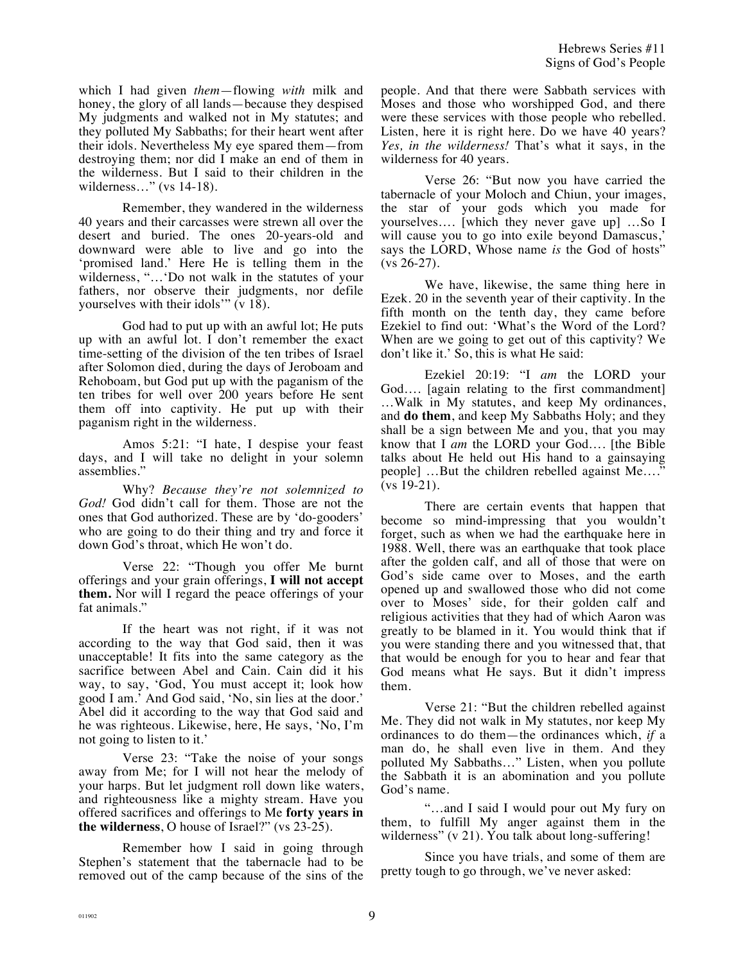which I had given *them*—flowing *with* milk and honey, the glory of all lands—because they despised My judgments and walked not in My statutes; and they polluted My Sabbaths; for their heart went after their idols. Nevertheless My eye spared them—from destroying them; nor did I make an end of them in the wilderness. But I said to their children in the wilderness…" (vs 14-18).

Remember, they wandered in the wilderness 40 years and their carcasses were strewn all over the desert and buried. The ones 20-years-old and downward were able to live and go into the 'promised land.' Here He is telling them in the wilderness, "…'Do not walk in the statutes of your fathers, nor observe their judgments, nor defile yourselves with their idols'" (v 18).

God had to put up with an awful lot; He puts up with an awful lot. I don't remember the exact time-setting of the division of the ten tribes of Israel after Solomon died, during the days of Jeroboam and Rehoboam, but God put up with the paganism of the ten tribes for well over 200 years before He sent them off into captivity. He put up with their paganism right in the wilderness.

Amos 5:21: "I hate, I despise your feast days, and I will take no delight in your solemn assemblies."

Why? *Because they're not solemnized to God!* God didn't call for them. Those are not the ones that God authorized. These are by 'do-gooders' who are going to do their thing and try and force it down God's throat, which He won't do.

Verse 22: "Though you offer Me burnt offerings and your grain offerings, **I will not accept them.** Nor will I regard the peace offerings of your fat animals."

If the heart was not right, if it was not according to the way that God said, then it was unacceptable! It fits into the same category as the sacrifice between Abel and Cain. Cain did it his way, to say, 'God, You must accept it; look how good I am.' And God said, 'No, sin lies at the door.' Abel did it according to the way that God said and he was righteous. Likewise, here, He says, 'No, I'm not going to listen to it.'

Verse 23: "Take the noise of your songs away from Me; for I will not hear the melody of your harps. But let judgment roll down like waters, and righteousness like a mighty stream. Have you offered sacrifices and offerings to Me **forty years in the wilderness**, O house of Israel?" (vs 23-25).

Remember how I said in going through Stephen's statement that the tabernacle had to be removed out of the camp because of the sins of the people. And that there were Sabbath services with Moses and those who worshipped God, and there were these services with those people who rebelled. Listen, here it is right here. Do we have 40 years? *Yes, in the wilderness!* That's what it says, in the wilderness for 40 years.

Verse 26: "But now you have carried the tabernacle of your Moloch and Chiun, your images, the star of your gods which you made for yourselves…. [which they never gave up] …So I will cause you to go into exile beyond Damascus,' says the LORD, Whose name *is* the God of hosts" (vs 26-27).

We have, likewise, the same thing here in Ezek. 20 in the seventh year of their captivity. In the fifth month on the tenth day, they came before Ezekiel to find out: 'What's the Word of the Lord? When are we going to get out of this captivity? We don't like it.' So, this is what He said:

Ezekiel 20:19: "I *am* the LORD your God…. [again relating to the first commandment] …Walk in My statutes, and keep My ordinances, and **do them**, and keep My Sabbaths Holy; and they shall be a sign between Me and you, that you may know that I *am* the LORD your God…. [the Bible talks about He held out His hand to a gainsaying people] …But the children rebelled against Me…." (vs 19-21).

There are certain events that happen that become so mind-impressing that you wouldn't forget, such as when we had the earthquake here in 1988. Well, there was an earthquake that took place after the golden calf, and all of those that were on God's side came over to Moses, and the earth opened up and swallowed those who did not come over to Moses' side, for their golden calf and religious activities that they had of which Aaron was greatly to be blamed in it. You would think that if you were standing there and you witnessed that, that that would be enough for you to hear and fear that God means what He says. But it didn't impress them.

Verse 21: "But the children rebelled against Me. They did not walk in My statutes, nor keep My ordinances to do them—the ordinances which, *if* a man do, he shall even live in them. And they polluted My Sabbaths…" Listen, when you pollute the Sabbath it is an abomination and you pollute God's name.

"…and I said I would pour out My fury on them, to fulfill My anger against them in the wilderness" (v 21). You talk about long-suffering!

Since you have trials, and some of them are pretty tough to go through, we've never asked: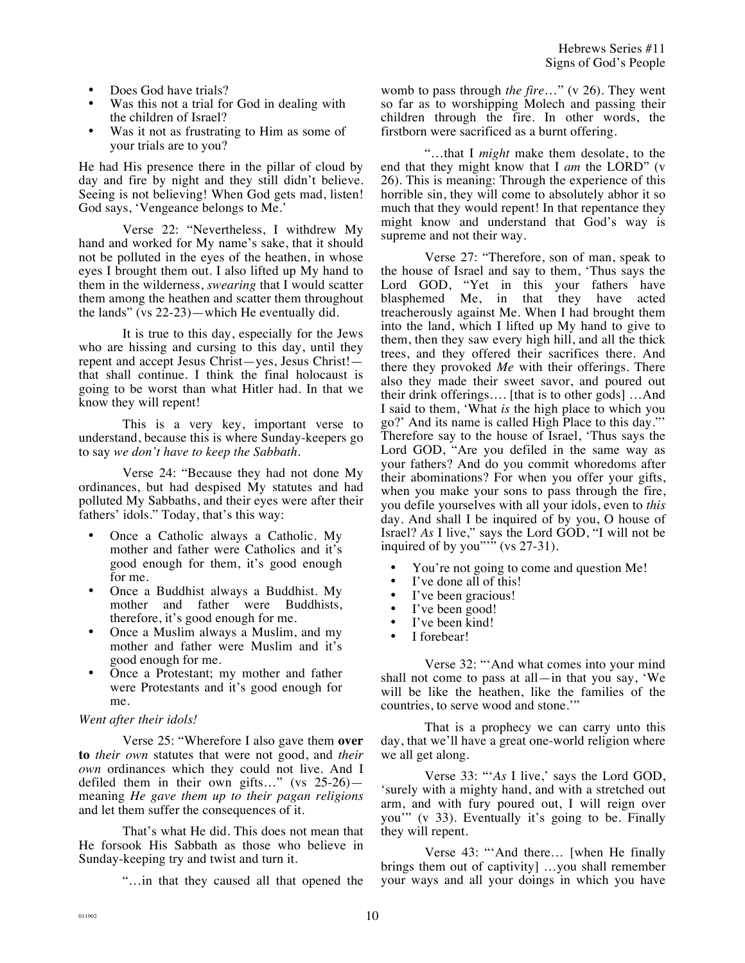- Does God have trials?
- Was this not a trial for God in dealing with the children of Israel?
- Was it not as frustrating to Him as some of your trials are to you?

He had His presence there in the pillar of cloud by day and fire by night and they still didn't believe. Seeing is not believing! When God gets mad, listen! God says, 'Vengeance belongs to Me.'

Verse 22: "Nevertheless, I withdrew My hand and worked for My name's sake, that it should not be polluted in the eyes of the heathen, in whose eyes I brought them out. I also lifted up My hand to them in the wilderness, *swearing* that I would scatter them among the heathen and scatter them throughout the lands" (vs 22-23)—which He eventually did.

It is true to this day, especially for the Jews who are hissing and cursing to this day, until they repent and accept Jesus Christ—yes, Jesus Christ! that shall continue. I think the final holocaust is going to be worst than what Hitler had. In that we know they will repent!

This is a very key, important verse to understand, because this is where Sunday-keepers go to say *we don't have to keep the Sabbath*.

Verse 24: "Because they had not done My ordinances, but had despised My statutes and had polluted My Sabbaths, and their eyes were after their fathers' idols." Today, that's this way:

- Once a Catholic always a Catholic. My mother and father were Catholics and it's good enough for them, it's good enough for me.
- Once a Buddhist always a Buddhist. My mother and father were Buddhists, therefore, it's good enough for me.
- Once a Muslim always a Muslim, and my mother and father were Muslim and it's good enough for me.
- Once a Protestant; my mother and father were Protestants and it's good enough for me.

## *Went after their idols!*

Verse 25: "Wherefore I also gave them **over to** *their own* statutes that were not good, and *their own* ordinances which they could not live. And I defiled them in their own gifts…" (vs 25-26) meaning *He gave them up to their pagan religions* and let them suffer the consequences of it.

That's what He did. This does not mean that He forsook His Sabbath as those who believe in Sunday-keeping try and twist and turn it.

"…in that they caused all that opened the

womb to pass through *the fire*…" (v 26). They went so far as to worshipping Molech and passing their children through the fire. In other words, the firstborn were sacrificed as a burnt offering.

"…that I *might* make them desolate, to the end that they might know that I *am* the LORD" (v 26). This is meaning: Through the experience of this horrible sin, they will come to absolutely abhor it so much that they would repent! In that repentance they might know and understand that God's way is supreme and not their way.

Verse 27: "Therefore, son of man, speak to the house of Israel and say to them, 'Thus says the Lord GOD, "Yet in this your fathers have blasphemed Me, in that they have acted treacherously against Me. When I had brought them into the land, which I lifted up My hand to give to them, then they saw every high hill, and all the thick trees, and they offered their sacrifices there. And there they provoked *Me* with their offerings. There also they made their sweet savor, and poured out their drink offerings…. [that is to other gods] …And I said to them, 'What *is* the high place to which you go?' And its name is called High Place to this day."' Therefore say to the house of Israel, 'Thus says the Lord GOD, "Are you defiled in the same way as your fathers? And do you commit whoredoms after their abominations? For when you offer your gifts, when you make your sons to pass through the fire, you defile yourselves with all your idols, even to *this* day. And shall I be inquired of by you, O house of Israel? *As* I live," says the Lord GOD, "I will not be inquired of by you"" (vs 27-31).

- You're not going to come and question Me!<br>• I've done all of this!
- I've done all of this!<br>• I've been gracious!
- I've been gracious!
- I've been good!
- I've been kind!
- I forebear!

Verse 32: "'And what comes into your mind shall not come to pass at all—in that you say, 'We will be like the heathen, like the families of the countries, to serve wood and stone.'"

That is a prophecy we can carry unto this day, that we'll have a great one-world religion where we all get along.

Verse 33: "'*As* I live,' says the Lord GOD, 'surely with a mighty hand, and with a stretched out arm, and with fury poured out, I will reign over you'" (v 33). Eventually it's going to be. Finally they will repent.

Verse 43: "'And there… [when He finally brings them out of captivity] …you shall remember your ways and all your doings in which you have